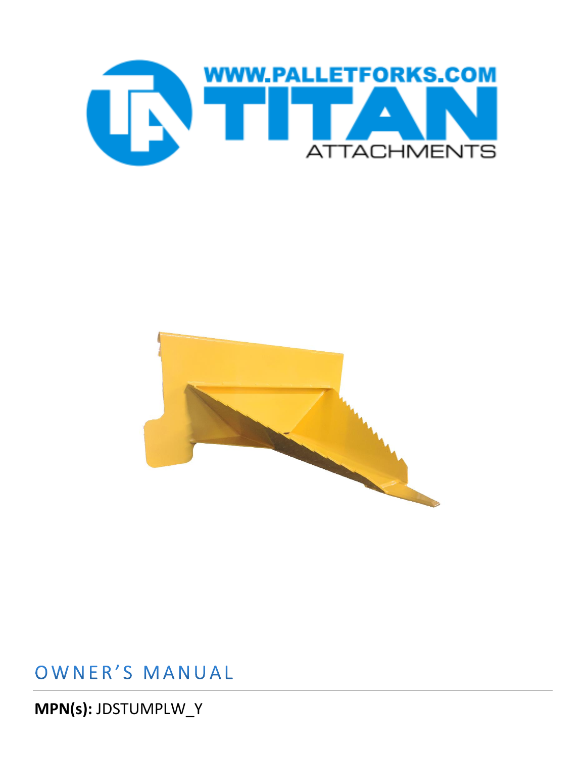



## OWNER'S MANUAL

MPN(s): JDSTUMPLW\_Y